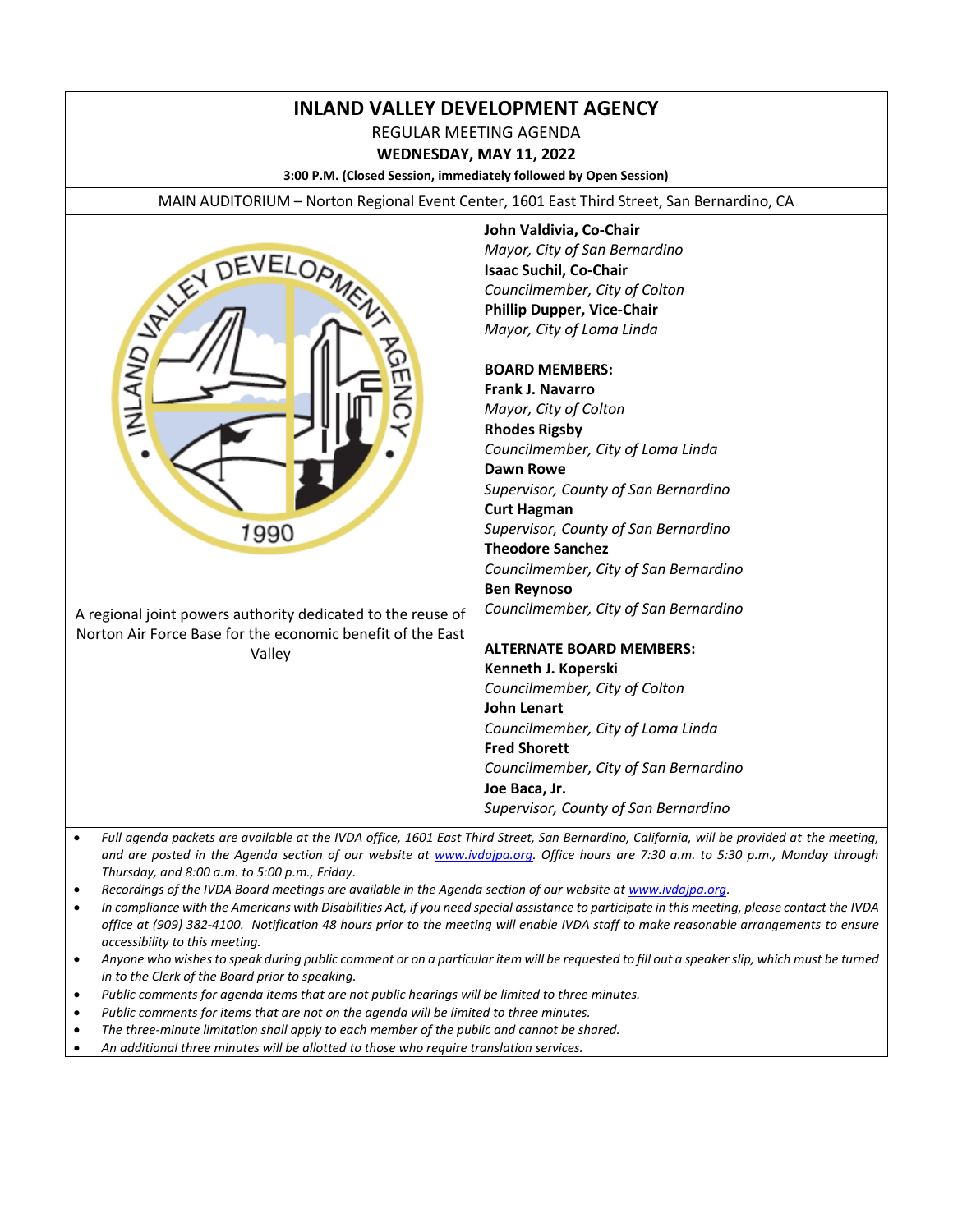# **INLAND VALLEY DEVELOPMENT AGENCY**

REGULAR MEETING AGENDA

**WEDNESDAY, MAY 11, 2022**

**3:00 P.M. (Closed Session, immediately followed by Open Session)**

MAIN AUDITORIUM – Norton Regional Event Center, 1601 East Third Street, San Bernardino, CA



**John Valdivia, Co-Chair** *Mayor, City of San Bernardino* **Isaac Suchil, Co-Chair** *Councilmember, City of Colton* **Phillip Dupper, Vice-Chair** *Mayor, City of Loma Linda*

#### **BOARD MEMBERS:**

**Frank J. Navarro** *Mayor, City of Colton* **Rhodes Rigsby** *Councilmember, City of Loma Linda* **Dawn Rowe** *Supervisor, County of San Bernardino* **Curt Hagman** *Supervisor, County of San Bernardino* **Theodore Sanchez** *Councilmember, City of San Bernardino* **Ben Reynoso** *Councilmember, City of San Bernardino*

#### **ALTERNATE BOARD MEMBERS: Kenneth J. Koperski** *Councilmember, City of Colton* **John Lenart** *Councilmember, City of Loma Linda* **Fred Shorett** *Councilmember, City of San Bernardino* **Joe Baca, Jr.**

*Supervisor, County of San Bernardino*

- *Full agenda packets are available at the IVDA office, 1601 East Third Street, San Bernardino, California, will be provided at the meeting, and are posted in the Agenda section of our website at [www.ivdajpa.org.](http://www.ivdajpa.org/) Office hours are 7:30 a.m. to 5:30 p.m., Monday through Thursday, and 8:00 a.m. to 5:00 p.m., Friday.*
- *Recordings of the IVDA Board meetings are available in the Agenda section of our website at [www.ivdajpa.org.](http://www.ivdajpa.org/)*
- *In compliance with the Americans with Disabilities Act, if you need special assistance to participate in this meeting, please contact the IVDA office at (909) 382-4100. Notification 48 hours prior to the meeting will enable IVDA staff to make reasonable arrangements to ensure accessibility to this meeting.*
- *Anyone who wishes to speak during public comment or on a particular item will be requested to fill out a speaker slip, which must be turned in to the Clerk of the Board prior to speaking.*
- *Public comments for agenda items that are not public hearings will be limited to three minutes.*
- *Public comments for items that are not on the agenda will be limited to three minutes.*
- *The three-minute limitation shall apply to each member of the public and cannot be shared.*
- *An additional three minutes will be allotted to those who require translation services.*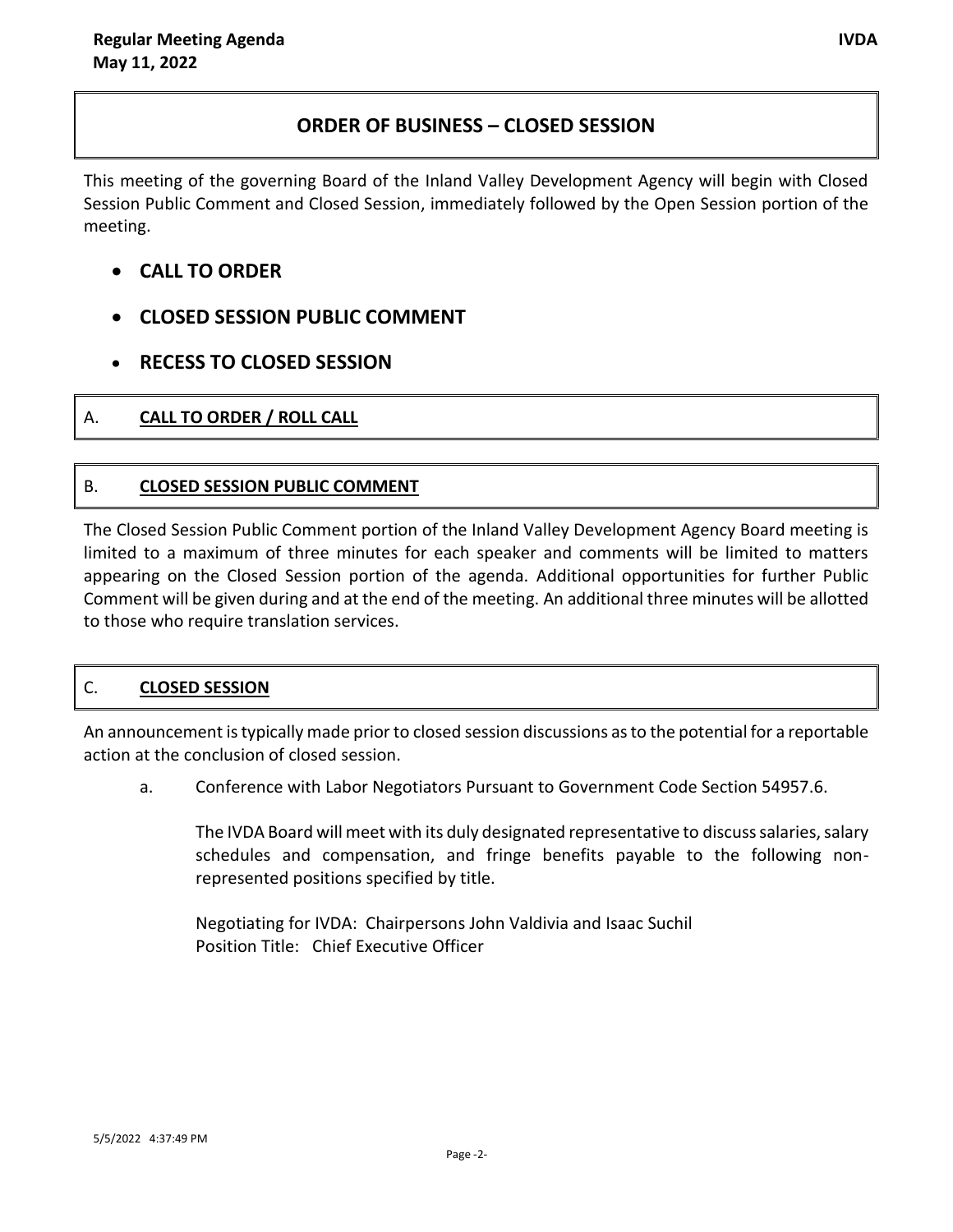# **ORDER OF BUSINESS – CLOSED SESSION**

This meeting of the governing Board of the Inland Valley Development Agency will begin with Closed Session Public Comment and Closed Session, immediately followed by the Open Session portion of the meeting.

# **CALL TO ORDER**

- **CLOSED SESSION PUBLIC COMMENT**
- **RECESS TO CLOSED SESSION**

# A. **CALL TO ORDER / ROLL CALL**

# B. **CLOSED SESSION PUBLIC COMMENT**

The Closed Session Public Comment portion of the Inland Valley Development Agency Board meeting is limited to a maximum of three minutes for each speaker and comments will be limited to matters appearing on the Closed Session portion of the agenda. Additional opportunities for further Public Comment will be given during and at the end of the meeting. An additional three minutes will be allotted to those who require translation services.

# C. **CLOSED SESSION**

An announcement is typically made prior to closed session discussions as to the potential for a reportable action at the conclusion of closed session.

a. Conference with Labor Negotiators Pursuant to Government Code Section 54957.6.

The IVDA Board will meet with its duly designated representative to discuss salaries, salary schedules and compensation, and fringe benefits payable to the following nonrepresented positions specified by title.

Negotiating for IVDA: Chairpersons John Valdivia and Isaac Suchil Position Title: Chief Executive Officer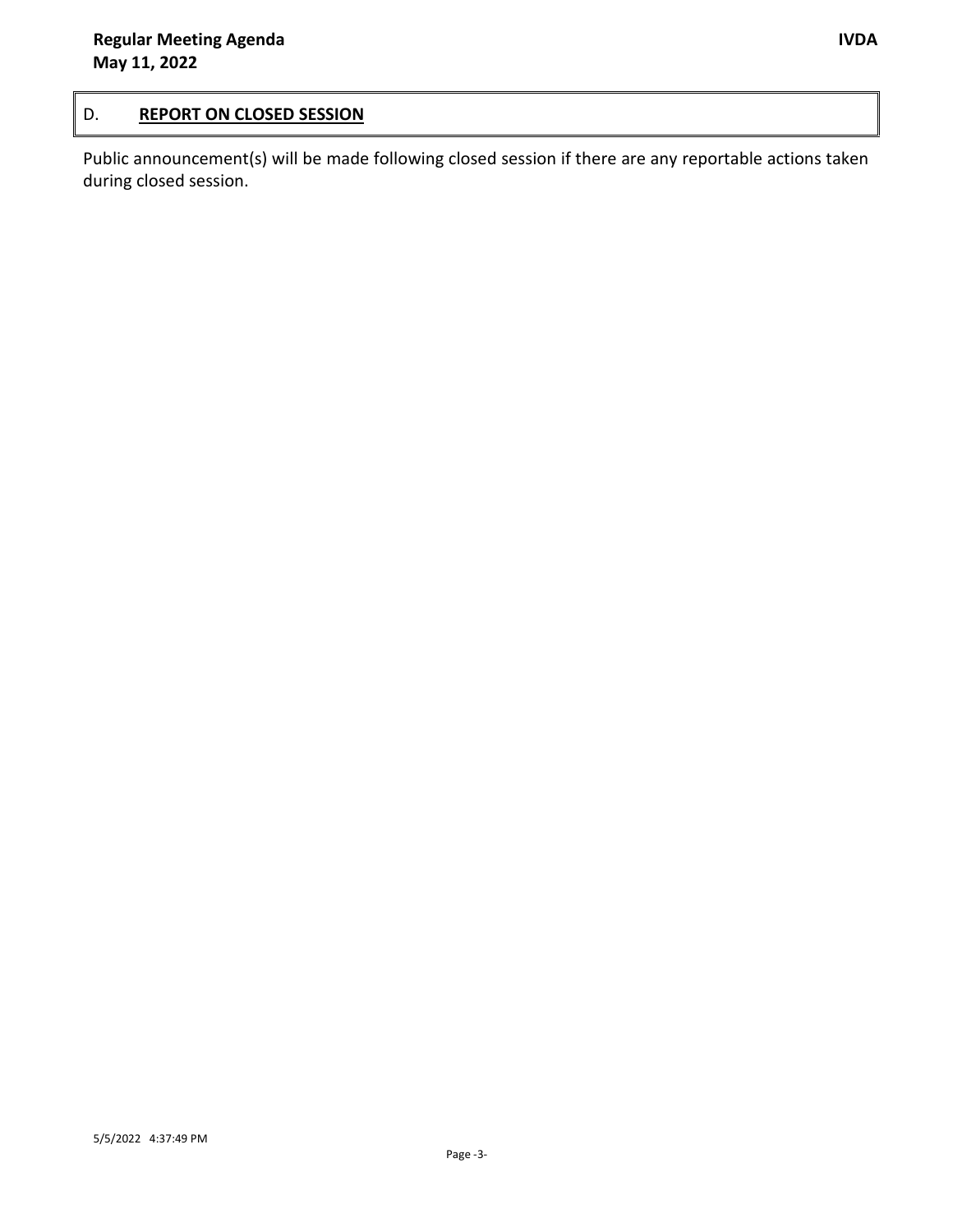### D. **REPORT ON CLOSED SESSION**

Public announcement(s) will be made following closed session if there are any reportable actions taken during closed session.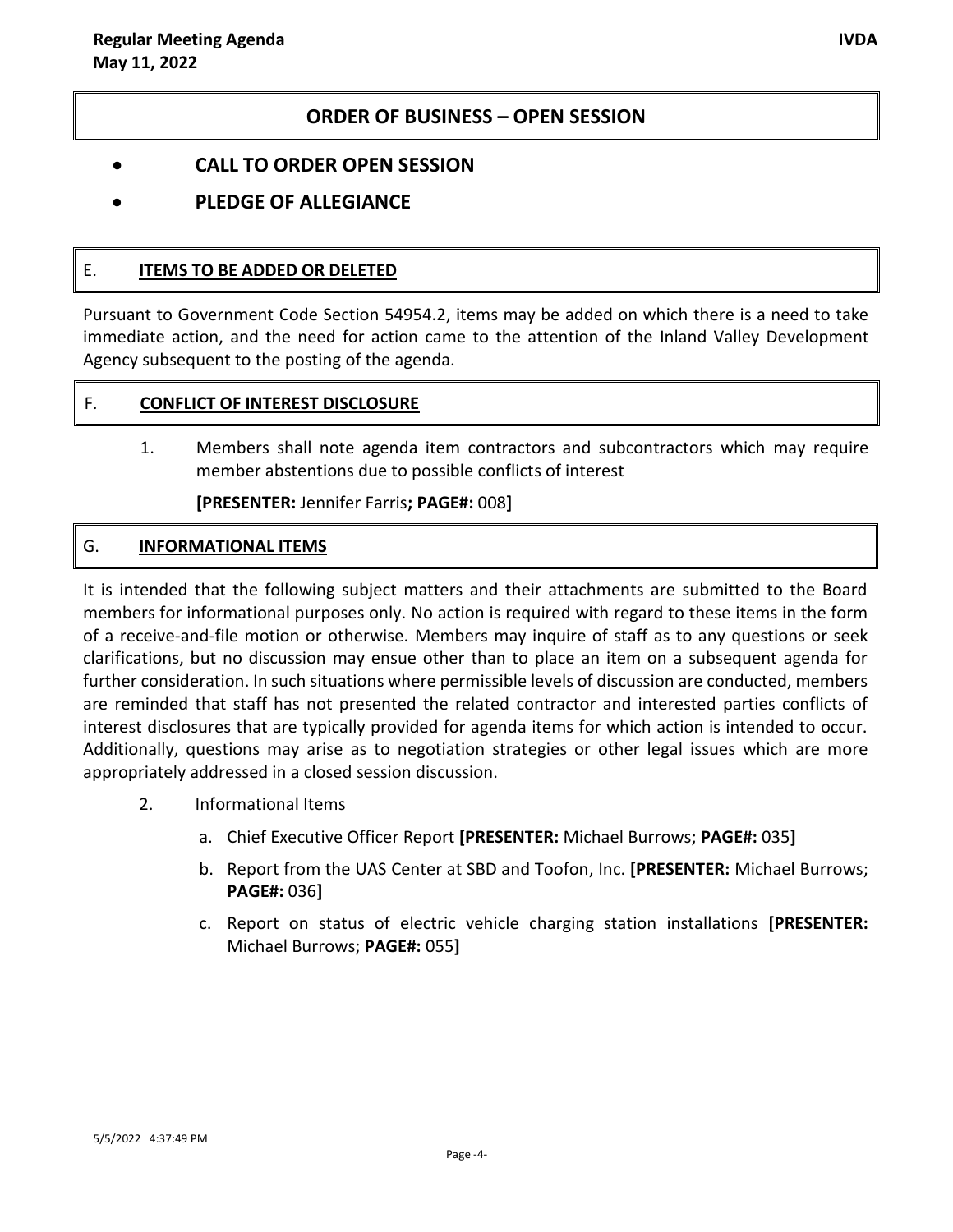### **ORDER OF BUSINESS – OPEN SESSION**

- **CALL TO ORDER OPEN SESSION**
- **PLEDGE OF ALLEGIANCE**

#### E. **ITEMS TO BE ADDED OR DELETED**

Pursuant to Government Code Section 54954.2, items may be added on which there is a need to take immediate action, and the need for action came to the attention of the Inland Valley Development Agency subsequent to the posting of the agenda.

### F. **CONFLICT OF INTEREST DISCLOSURE**

1. Members shall note agenda item contractors and subcontractors which may require member abstentions due to possible conflicts of interest

**[PRESENTER:** Jennifer Farris**; PAGE#:** 008**]**

### G. **INFORMATIONAL ITEMS**

It is intended that the following subject matters and their attachments are submitted to the Board members for informational purposes only. No action is required with regard to these items in the form of a receive-and-file motion or otherwise. Members may inquire of staff as to any questions or seek clarifications, but no discussion may ensue other than to place an item on a subsequent agenda for further consideration. In such situations where permissible levels of discussion are conducted, members are reminded that staff has not presented the related contractor and interested parties conflicts of interest disclosures that are typically provided for agenda items for which action is intended to occur. Additionally, questions may arise as to negotiation strategies or other legal issues which are more appropriately addressed in a closed session discussion.

- 2. Informational Items
	- a. Chief Executive Officer Report **[PRESENTER:** Michael Burrows; **PAGE#:** 035**]**
	- b. Report from the UAS Center at SBD and Toofon, Inc. **[PRESENTER:** Michael Burrows; **PAGE#:** 036**]**
	- c. Report on status of electric vehicle charging station installations **[PRESENTER:**  Michael Burrows; **PAGE#:** 055**]**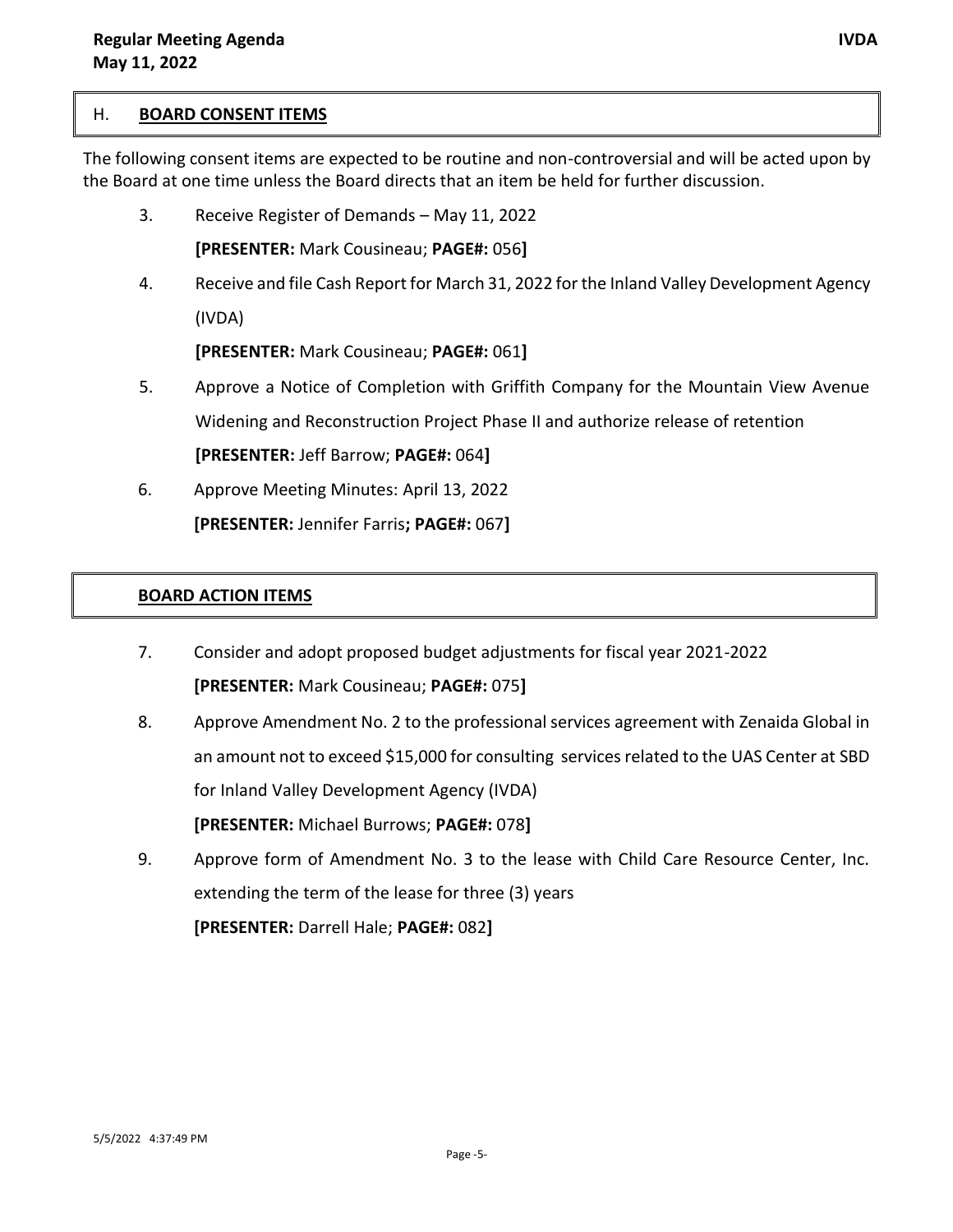#### H. **BOARD CONSENT ITEMS**

The following consent items are expected to be routine and non-controversial and will be acted upon by the Board at one time unless the Board directs that an item be held for further discussion.

3. Receive Register of Demands – May 11, 2022

**[PRESENTER:** Mark Cousineau; **PAGE#:** 056**]**

4. Receive and file Cash Report for March 31, 2022 for the Inland Valley Development Agency (IVDA)

**[PRESENTER:** Mark Cousineau; **PAGE#:** 061**]**

- 5. Approve a Notice of Completion with Griffith Company for the Mountain View Avenue Widening and Reconstruction Project Phase II and authorize release of retention **[PRESENTER:** Jeff Barrow; **PAGE#:** 064**]**
- 6. Approve Meeting Minutes: April 13, 2022 **[PRESENTER:** Jennifer Farris**; PAGE#:** 067**]**

### **BOARD ACTION ITEMS**

- 7. Consider and adopt proposed budget adjustments for fiscal year 2021-2022 **[PRESENTER:** Mark Cousineau; **PAGE#:** 075**]**
- 8. Approve Amendment No. 2 to the professional services agreement with Zenaida Global in an amount not to exceed \$15,000 for consulting services related to the UAS Center at SBD for Inland Valley Development Agency (IVDA) **[PRESENTER:** Michael Burrows; **PAGE#:** 078**]**
- 9. Approve form of Amendment No. 3 to the lease with Child Care Resource Center, Inc. extending the term of the lease for three (3) years **[PRESENTER:** Darrell Hale; **PAGE#:** 082**]**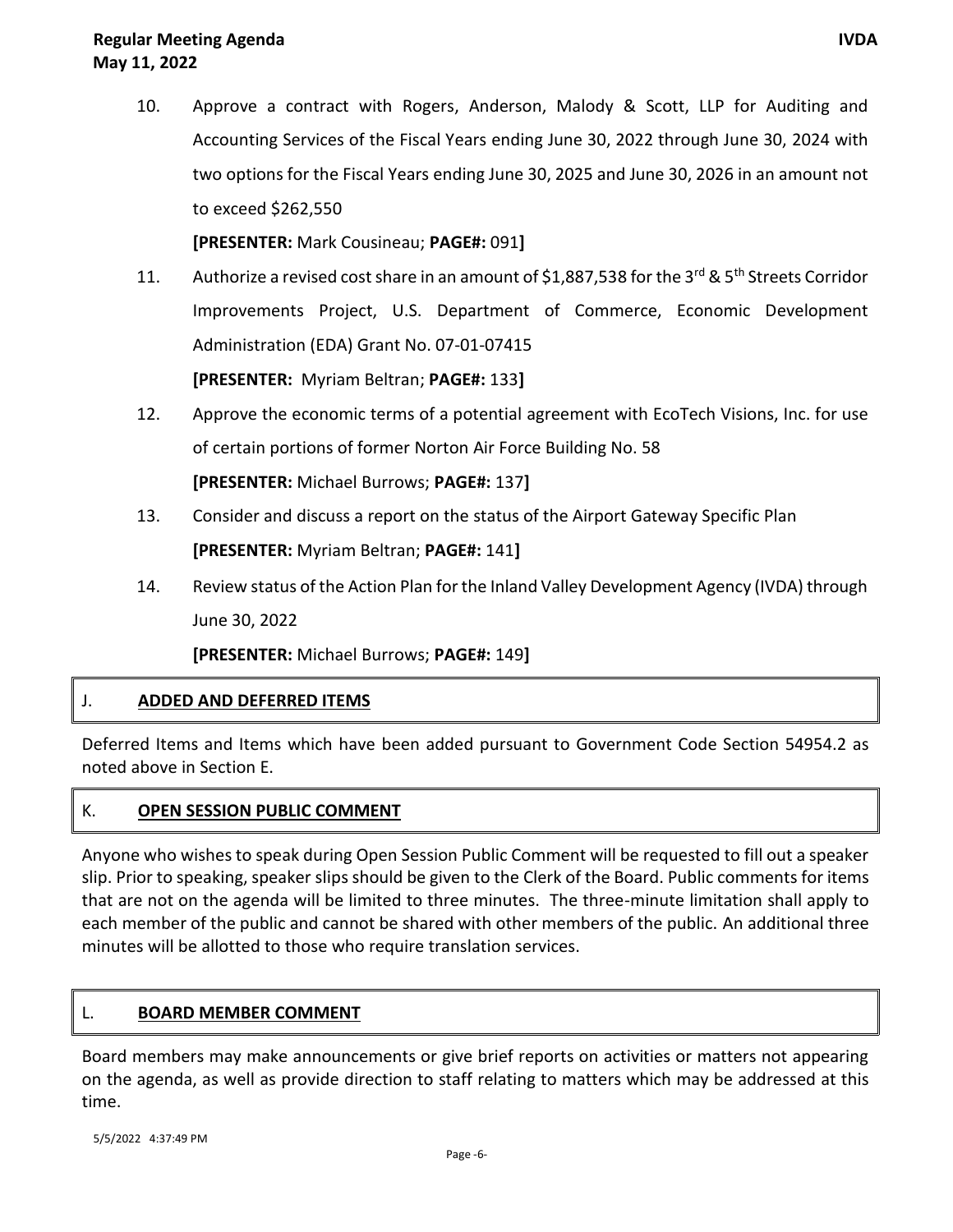10. Approve a contract with Rogers, Anderson, Malody & Scott, LLP for Auditing and Accounting Services of the Fiscal Years ending June 30, 2022 through June 30, 2024 with two options for the Fiscal Years ending June 30, 2025 and June 30, 2026 in an amount not to exceed \$262,550

**[PRESENTER:** Mark Cousineau; **PAGE#:** 091**]**

- 11. Authorize a revised cost share in an amount of \$1,887,538 for the 3<sup>rd</sup> & 5<sup>th</sup> Streets Corridor Improvements Project, U.S. Department of Commerce, Economic Development Administration (EDA) Grant No. 07-01-07415 **[PRESENTER:** Myriam Beltran; **PAGE#:** 133**]**
- 12. Approve the economic terms of a potential agreement with EcoTech Visions, Inc. for use of certain portions of former Norton Air Force Building No. 58 **[PRESENTER:** Michael Burrows; **PAGE#:** 137**]**
- 13. Consider and discuss a report on the status of the Airport Gateway Specific Plan **[PRESENTER:** Myriam Beltran; **PAGE#:** 141**]**
- 14. Review status of the Action Plan for the Inland Valley Development Agency (IVDA) through June 30, 2022

**[PRESENTER:** Michael Burrows; **PAGE#:** 149**]**

### J. **ADDED AND DEFERRED ITEMS**

Deferred Items and Items which have been added pursuant to Government Code Section 54954.2 as noted above in Section E.

#### K. **OPEN SESSION PUBLIC COMMENT**

Anyone who wishes to speak during Open Session Public Comment will be requested to fill out a speaker slip. Prior to speaking, speaker slips should be given to the Clerk of the Board. Public comments for items that are not on the agenda will be limited to three minutes. The three-minute limitation shall apply to each member of the public and cannot be shared with other members of the public. An additional three minutes will be allotted to those who require translation services.

#### L. **BOARD MEMBER COMMENT**

Board members may make announcements or give brief reports on activities or matters not appearing on the agenda, as well as provide direction to staff relating to matters which may be addressed at this time.